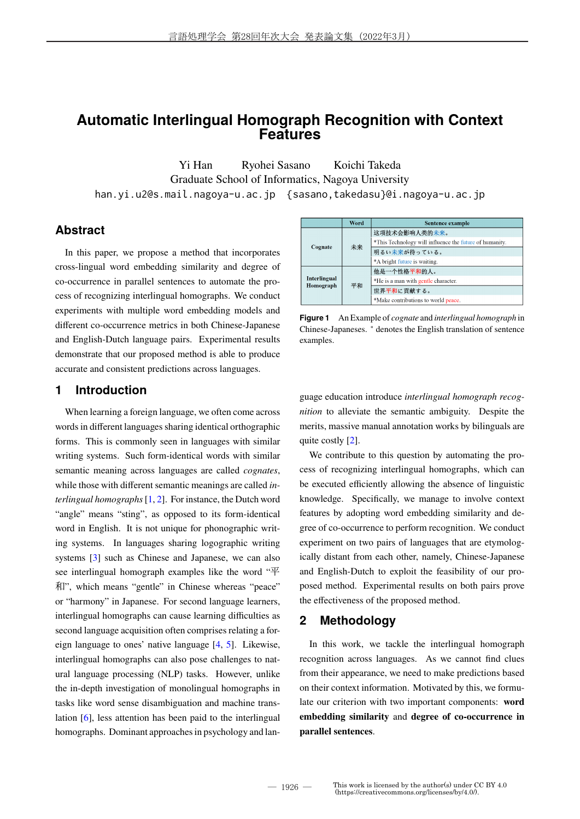# **Automatic Interlingual Homograph Recognition with Context Features**

Yi Han Ryohei Sasano Koichi Takeda Graduate School of Informatics, Nagoya University han.yi.u2@s.mail.nagoya-u.ac.jp {sasano,takedasu}@i.nagoya-u.ac.jp

# **Abstract**

In this paper, we propose a method that incorporates cross-lingual word embedding similarity and degree of co-occurrence in parallel sentences to automate the process of recognizing interlingual homographs. We conduct experiments with multiple word embedding models and different co-occurrence metrics in both Chinese-Japanese and English-Dutch language pairs. Experimental results demonstrate that our proposed method is able to produce accurate and consistent predictions across languages.

# **1 Introduction**

When learning a foreign language, we often come across words in different languages sharing identical orthographic forms. This is commonly seen in languages with similar writing systems. Such form-identical words with similar semantic meaning across languages are called *cognates*, while those with different semantic meanings are called *interlingual homographs*[1, 2]. For instance, the Dutch word "angle" means "sting", as opposed to its form-identical word in English. It is not unique for phonographic writing systems. In languages sharing logographic writing systems [3] such as Chinese and Japanese, we can also see interlingual homograph examples like the word "平 和", which means "gentle" in Chinese whereas "peace" or "harmony" in Japanese. For second language learners, interlingual homographs can cause learning difficulties as second language acquisition often comprises relating a foreign language to ones' native language [4, 5]. Likewise, interlingual homographs can also pose challenges to natural language processing (NLP) tasks. However, unlike the in-depth investigation of monolingual homographs in tasks like word sense disambiguation and machine translation [6], less attention has been paid to the interlingual homographs. Dominant approaches in psychology and lan-

|                           | Word | <b>Sentence example</b>                                 |
|---------------------------|------|---------------------------------------------------------|
| Cognate                   |      | 这项技术会影响人类的未来。                                           |
|                           | 未来   | *This Technology will influence the future of humanity. |
|                           |      | 明るい未来が待っている。                                            |
|                           |      | *A bright future is waiting.                            |
| Interlingual<br>Homograph |      | 他是一个性格平和的人。                                             |
|                           |      | *He is a man with gentle character.                     |
|                           | 平和   | 世界平和に貢献する。                                              |
|                           |      | *Make contributions to world peace.                     |

**Figure 1** An Example of *cognate* and *interlingual homograph* in Chinese-Japaneses. <sup>∗</sup> denotes the English translation of sentence examples.

guage education introduce *interlingual homograph recognition* to alleviate the semantic ambiguity. Despite the merits, massive manual annotation works by bilinguals are quite costly [2].

We contribute to this question by automating the process of recognizing interlingual homographs, which can be executed efficiently allowing the absence of linguistic knowledge. Specifically, we manage to involve context features by adopting word embedding similarity and degree of co-occurrence to perform recognition. We conduct experiment on two pairs of languages that are etymologically distant from each other, namely, Chinese-Japanese and English-Dutch to exploit the feasibility of our proposed method. Experimental results on both pairs prove the effectiveness of the proposed method.

# **2 Methodology**

In this work, we tackle the interlingual homograph recognition across languages. As we cannot find clues from their appearance, we need to make predictions based on their context information. Motivated by this, we formulate our criterion with two important components: **word embedding similarity** and **degree of co-occurrence in parallel sentences**.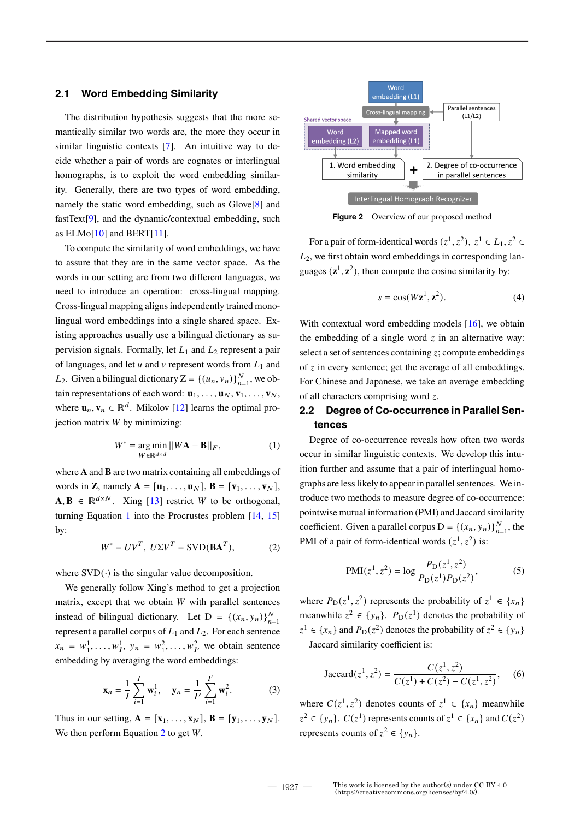## **2.1 Word Embedding Similarity**

The distribution hypothesis suggests that the more semantically similar two words are, the more they occur in similar linguistic contexts [7]. An intuitive way to decide whether a pair of words are cognates or interlingual homographs, is to exploit the word embedding similarity. Generally, there are two types of word embedding, namely the static word embedding, such as Glove[8] and fastText[9], and the dynamic/contextual embedding, such as  $ELMo[10]$  and  $BERT[11]$ .

To compute the similarity of word embeddings, we have to assure that they are in the same vector space. As the words in our setting are from two different languages, we need to introduce an operation: cross-lingual mapping. Cross-lingual mapping aligns independently trained monolingual word embeddings into a single shared space. Existing approaches usually use a bilingual dictionary as supervision signals. Formally, let  $L_1$  and  $L_2$  represent a pair of languages, and let  $u$  and  $v$  represent words from  $L_1$  and *L*<sub>2</sub>. Given a bilingual dictionary  $Z = \{(u_n, v_n)\}_{n=1}^N$ , we obtain representations of each word:  $\mathbf{u}_1, \dots, \mathbf{u}_N, \mathbf{v}_1, \dots, \mathbf{v}_N$ , where  $\mathbf{u}_n, \mathbf{v}_n \in \mathbb{R}^d$ . Mikolov [12] learns the optimal projection matrix  $W$  by minimizing:

$$
W^* = \underset{W \in \mathbb{R}^{d \times d}}{\arg \min} ||W\mathbf{A} - \mathbf{B}||_F, \tag{1}
$$

where **A** and **B** are two matrix containing all embeddings of words in **Z**, namely  $\mathbf{A} = [\mathbf{u}_1, \dots, \mathbf{u}_N], \mathbf{B} = [\mathbf{v}_1, \dots, \mathbf{v}_N],$  $\mathbf{A}, \mathbf{B} \in \mathbb{R}^{d \times N}$ . Xing [13] restrict *W* to be orthogonal, turning Equation 1 into the Procrustes problem [14, 15] by:

$$
W^* = UV^T, \ U\Sigma V^T = \text{SVD}(\mathbf{BA}^T), \tag{2}
$$

where  $SVD(\cdot)$  is the singular value decomposition.

We generally follow Xing's method to get a projection matrix, except that we obtain  $W$  with parallel sentences instead of bilingual dictionary. Let D =  $\{(x_n, y_n)\}_{n=1}^N$ represent a parallel corpus of  $L_1$  and  $L_2$ . For each sentence  $x_n = w_1^1, \dots, w_I^1, y_n = w_1^2, \dots, w_{I'}^2$  we obtain sentence embedding by averaging the word embeddings:

$$
\mathbf{x}_n = \frac{1}{I} \sum_{i=1}^{I} \mathbf{w}_i^1, \quad \mathbf{y}_n = \frac{1}{I'} \sum_{i=1}^{I'} \mathbf{w}_i^2.
$$
 (3)

Thus in our setting,  $\mathbf{A} = [\mathbf{x}_1, \dots, \mathbf{x}_N], \mathbf{B} = [\mathbf{y}_1, \dots, \mathbf{y}_N].$ We then perform Equation 2 to get  $W$ .



**Figure 2** Overview of our proposed method

For a pair of form-identical words  $(z^1, z^2)$ ,  $z^1 \in L_1, z^2 \in$  $L<sub>2</sub>$ , we first obtain word embeddings in corresponding languages  $(\mathbf{z}^1, \mathbf{z}^2)$ , then compute the cosine similarity by:

$$
s = \cos(Wz^1, z^2). \tag{4}
$$

With contextual word embedding models [16], we obtain the embedding of a single word  $\zeta$  in an alternative way: select a set of sentences containing  $z$ ; compute embeddings of  $z$  in every sentence; get the average of all embeddings. For Chinese and Japanese, we take an average embedding of all characters comprising word  $z$ .

# **2.2 Degree of Co-occurrence in Parallel Sentences**

Degree of co-occurrence reveals how often two words occur in similar linguistic contexts. We develop this intuition further and assume that a pair of interlingual homographs are less likely to appear in parallel sentences. We introduce two methods to measure degree of co-occurrence: pointwise mutual information (PMI) and Jaccard similarity coefficient. Given a parallel corpus  $D = \{(x_n, y_n)\}_{n=1}^N$ , the PMI of a pair of form-identical words  $(z^1, z^2)$  is:

$$
PMI(z^1, z^2) = \log \frac{P_D(z^1, z^2)}{P_D(z^1) P_D(z^2)},
$$
 (5)

where  $P_D(z^1, z^2)$  represents the probability of  $z^1 \in \{x_n\}$ meanwhile  $z^2 \in \{y_n\}$ .  $P_D(z^1)$  denotes the probability of  $z^1 \in \{x_n\}$  and  $P_D(z^2)$  denotes the probability of  $z^2 \in \{y_n\}$ Jaccard similarity coefficient is:

Jaccard
$$
(z^1, z^2)
$$
 =  $\frac{C(z^1, z^2)}{C(z^1) + C(z^2) - C(z^1, z^2)}$ , (6)

where  $C(z^1, z^2)$  denotes counts of  $z^1 \in \{x_n\}$  meanwhile  $z^2 \in \{y_n\}$ .  $C(z^1)$  represents counts of  $z^1 \in \{x_n\}$  and  $C(z^2)$ represents counts of  $z^2 \in \{y_n\}.$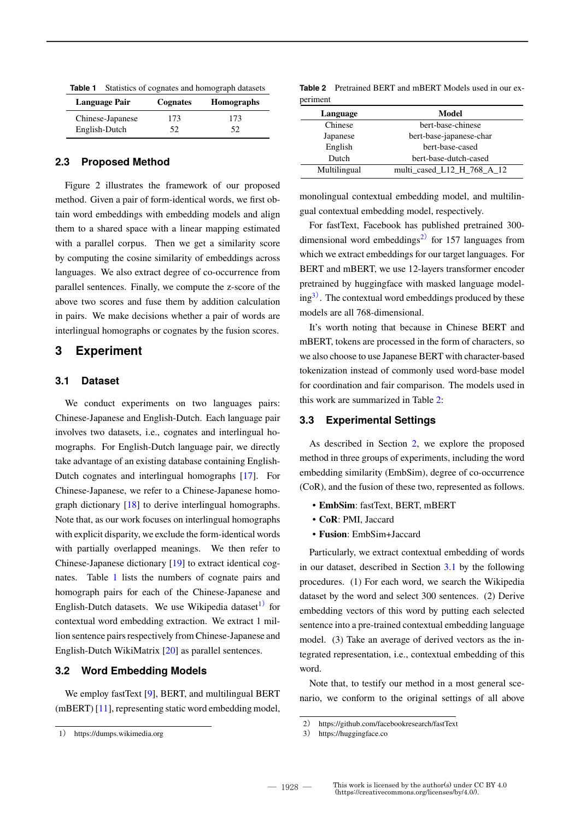| Table 1 | Statistics of cognates and homograph datasets |          |                   |  |  |
|---------|-----------------------------------------------|----------|-------------------|--|--|
|         | Language Pair                                 | Cognates | <b>Homographs</b> |  |  |
|         | Chinese-Japanese                              | 173      | 173               |  |  |
|         | English-Dutch                                 | 52.      | 52                |  |  |

## **2.3 Proposed Method**

Figure 2 illustrates the framework of our proposed method. Given a pair of form-identical words, we first obtain word embeddings with embedding models and align them to a shared space with a linear mapping estimated with a parallel corpus. Then we get a similarity score by computing the cosine similarity of embeddings across languages. We also extract degree of co-occurrence from parallel sentences. Finally, we compute the z-score of the above two scores and fuse them by addition calculation in pairs. We make decisions whether a pair of words are interlingual homographs or cognates by the fusion scores.

## **3 Experiment**

#### **3.1 Dataset**

We conduct experiments on two languages pairs: Chinese-Japanese and English-Dutch. Each language pair involves two datasets, i.e., cognates and interlingual homographs. For English-Dutch language pair, we directly take advantage of an existing database containing English-Dutch cognates and interlingual homographs [17]. For Chinese-Japanese, we refer to a Chinese-Japanese homograph dictionary [18] to derive interlingual homographs. Note that, as our work focuses on interlingual homographs with explicit disparity, we exclude the form-identical words with partially overlapped meanings. We then refer to Chinese-Japanese dictionary [19] to extract identical cognates. Table 1 lists the numbers of cognate pairs and homograph pairs for each of the Chinese-Japanese and English-Dutch datasets. We use Wikipedia dataset<sup>1)</sup> for contextual word embedding extraction. We extract 1 million sentence pairs respectively from Chinese-Japanese and English-Dutch WikiMatrix [20] as parallel sentences.

## **3.2 Word Embedding Models**

We employ fastText [9], BERT, and multilingual BERT (mBERT) [11], representing static word embedding model,

|          | <b>Table 2</b> Pretrained BERT and mBERT Models used in our ex- |  |  |  |
|----------|-----------------------------------------------------------------|--|--|--|
| periment |                                                                 |  |  |  |

| Language     | Model                      |
|--------------|----------------------------|
| Chinese      | bert-base-chinese          |
| Japanese     | bert-base-japanese-char    |
| English      | bert-base-cased            |
| Dutch        | bert-base-dutch-cased      |
| Multilingual | multi cased L12 H 768 A 12 |

monolingual contextual embedding model, and multilingual contextual embedding model, respectively.

For fastText, Facebook has published pretrained 300 dimensional word embeddings<sup>2)</sup> for 157 languages from which we extract embeddings for our target languages. For BERT and mBERT, we use 12-layers transformer encoder pretrained by huggingface with masked language model $ing<sup>3</sup>$ . The contextual word embeddings produced by these models are all 768-dimensional.

It's worth noting that because in Chinese BERT and mBERT, tokens are processed in the form of characters, so we also choose to use Japanese BERT with character-based tokenization instead of commonly used word-base model for coordination and fair comparison. The models used in this work are summarized in Table 2:

#### **3.3 Experimental Settings**

As described in Section 2, we explore the proposed method in three groups of experiments, including the word embedding similarity (EmbSim), degree of co-occurrence (CoR), and the fusion of these two, represented as follows.

- **EmbSim**: fastText, BERT, mBERT
- **CoR**: PMI, Jaccard
- **Fusion**: EmbSim+Jaccard

Particularly, we extract contextual embedding of words in our dataset, described in Section 3.1 by the following procedures. (1) For each word, we search the Wikipedia dataset by the word and select 300 sentences. (2) Derive embedding vectors of this word by putting each selected sentence into a pre-trained contextual embedding language model. (3) Take an average of derived vectors as the integrated representation, i.e., contextual embedding of this word.

Note that, to testify our method in a most general scenario, we conform to the original settings of all above

<sup>1</sup>) https://dumps.wikimedia.org

<sup>2</sup>) https://github.com/facebookresearch/fastText

<sup>3</sup>) https://huggingface.co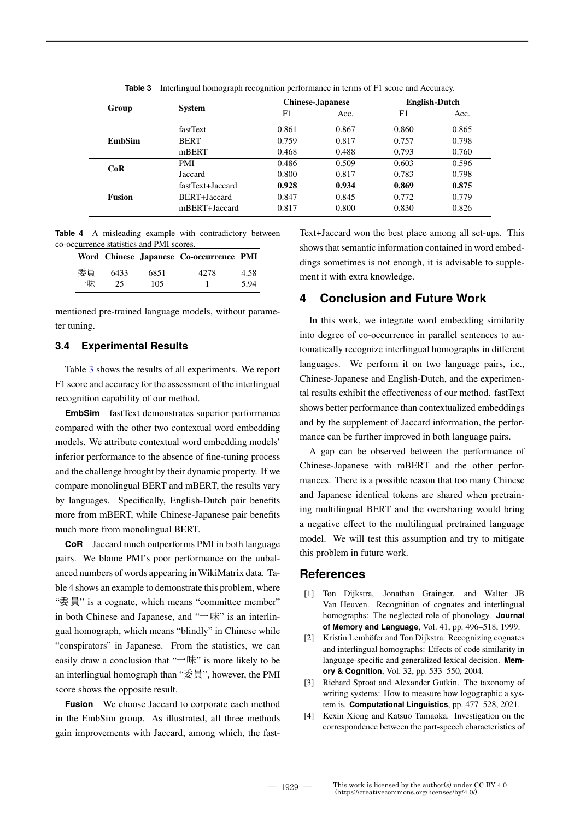| Group<br><b>EmbSim</b><br>CoR<br>Fusion |                  | <b>Chinese-Japanese</b> |       | <b>English-Dutch</b>             |       |
|-----------------------------------------|------------------|-------------------------|-------|----------------------------------|-------|
|                                         | <b>System</b>    | F1                      | Acc.  | F1                               | Acc.  |
|                                         | fastText         | 0.861                   | 0.867 | 0.860                            | 0.865 |
|                                         | <b>BERT</b>      | 0.759                   | 0.817 | 0.757                            | 0.798 |
|                                         | mBERT            | 0.468                   | 0.488 | 0.793                            | 0.760 |
|                                         | <b>PMI</b>       | 0.486                   | 0.509 | 0.603                            | 0.596 |
|                                         | Jaccard          | 0.800                   | 0.817 | 0.783<br>0.869<br>0.772<br>0.830 | 0.798 |
|                                         | fastText+Jaccard | 0.928                   | 0.934 |                                  | 0.875 |
|                                         | BERT+Jaccard     | 0.847                   | 0.845 |                                  | 0.779 |
|                                         | mBERT+Jaccard    | 0.817                   | 0.800 |                                  | 0.826 |

**Table 3** Interlingual homograph recognition performance in terms of F1 score and Accuracy.

**Table 4** A misleading example with contradictory between co-occurrence statistics and PMI scores.

|    |      |      | Word Chinese Japanese Co-occurrence PMI |      |
|----|------|------|-----------------------------------------|------|
| 委員 | 6433 | 6851 | 42.78                                   | 4.58 |
| 一味 | 25.  | 105  |                                         | 5.94 |

mentioned pre-trained language models, without parameter tuning.

## **3.4 Experimental Results**

Table 3 shows the results of all experiments. We report F1 score and accuracy for the assessment of the interlingual recognition capability of our method.

**EmbSim** fastText demonstrates superior performance compared with the other two contextual word embedding models. We attribute contextual word embedding models' inferior performance to the absence of fine-tuning process and the challenge brought by their dynamic property. If we compare monolingual BERT and mBERT, the results vary by languages. Specifically, English-Dutch pair benefits more from mBERT, while Chinese-Japanese pair benefits much more from monolingual BERT.

**CoR** Jaccard much outperforms PMI in both language pairs. We blame PMI's poor performance on the unbalanced numbers of words appearing in WikiMatrix data. Table 4 shows an example to demonstrate this problem, where "委員" is a cognate, which means "committee member" in both Chinese and Japanese, and "一味" is an interlingual homograph, which means "blindly" in Chinese while "conspirators" in Japanese. From the statistics, we can easily draw a conclusion that " $\rightarrow$ 味" is more likely to be an interlingual homograph than "委員", however, the PMI score shows the opposite result.

**Fusion** We choose Jaccard to corporate each method in the EmbSim group. As illustrated, all three methods gain improvements with Jaccard, among which, the fastText+Jaccard won the best place among all set-ups. This shows that semantic information contained in word embeddings sometimes is not enough, it is advisable to supplement it with extra knowledge.

# **4 Conclusion and Future Work**

In this work, we integrate word embedding similarity into degree of co-occurrence in parallel sentences to automatically recognize interlingual homographs in different languages. We perform it on two language pairs, i.e., Chinese-Japanese and English-Dutch, and the experimental results exhibit the effectiveness of our method. fastText shows better performance than contextualized embeddings and by the supplement of Jaccard information, the performance can be further improved in both language pairs.

A gap can be observed between the performance of Chinese-Japanese with mBERT and the other performances. There is a possible reason that too many Chinese and Japanese identical tokens are shared when pretraining multilingual BERT and the oversharing would bring a negative effect to the multilingual pretrained language model. We will test this assumption and try to mitigate this problem in future work.

## **References**

- [1] Ton Dijkstra, Jonathan Grainger, and Walter JB Van Heuven. Recognition of cognates and interlingual homographs: The neglected role of phonology. **Journal of Memory and Language**, Vol. 41, pp. 496–518, 1999.
- [2] Kristin Lemhöfer and Ton Dijkstra. Recognizing cognates and interlingual homographs: Effects of code similarity in language-specific and generalized lexical decision. **Memory & Cognition**, Vol. 32, pp. 533–550, 2004.
- [3] Richard Sproat and Alexander Gutkin. The taxonomy of writing systems: How to measure how logographic a system is. **Computational Linguistics**, pp. 477–528, 2021.
- [4] Kexin Xiong and Katsuo Tamaoka. Investigation on the correspondence between the part-speech characteristics of